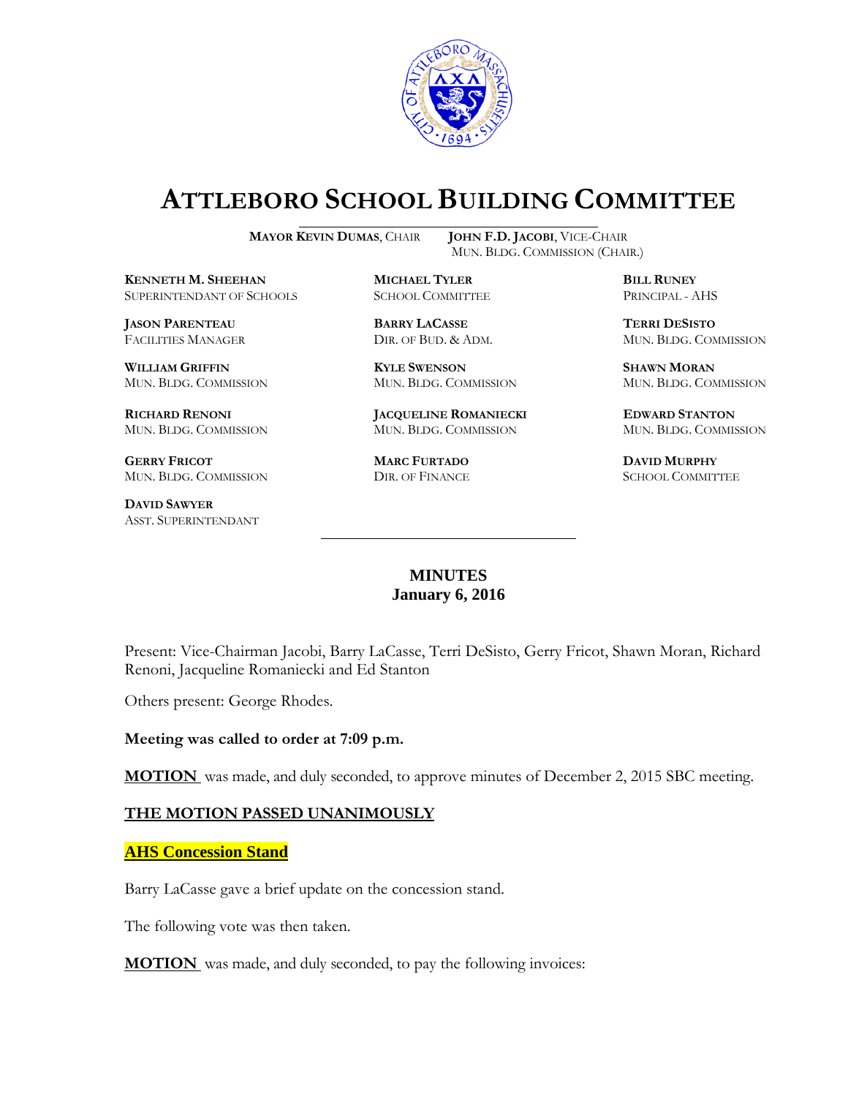

# **ATTLEBORO SCHOOL BUILDING COMMITTEE**

**MAYOR KEVIN DUMAS**, CHAIR **JOHN F.D. JACOBI**, VICE-CHAIR

**KENNETH M. SHEEHAN MICHAEL TYLER BILL RUNEY** SUPERINTENDANT OF SCHOOLS SCHOOL COMMITTEE PRINCIPAL - AHS

**JASON PARENTEAU BARRY LACASSE TERRI DESISTO**

**WILLIAM GRIFFIN KYLE SWENSON SHAWN MORAN** MUN. BLDG. COMMISSION MUN. BLDG. COMMISSION MUN. BLDG. COMMISSION

**GERRY FRICOT MARC FURTADO DAVID MURPHY** MUN. BLDG. COMMISSION DIR. OF FINANCE SCHOOL COMMITTEE

**DAVID SAWYER** ASST. SUPERINTENDANT MUN. BLDG. COMMISSION (CHAIR.)

**RICHARD RENONI JACQUELINE ROMANIECKI EDWARD STANTON** MUN. BLDG. COMMISSION MUN. BLDG. COMMISSION MUN. BLDG. COMMISSION

FACILITIES MANAGER DIR. OF BUD. & ADM. MUN. BLDG. COMMISSION

## **MINUTES January 6, 2016**

\_\_\_\_\_\_\_\_\_\_\_\_\_\_\_\_\_\_\_\_\_\_\_\_\_\_\_\_\_\_\_\_\_\_\_\_\_

Present: Vice-Chairman Jacobi, Barry LaCasse, Terri DeSisto, Gerry Fricot, Shawn Moran, Richard Renoni, Jacqueline Romaniecki and Ed Stanton

Others present: George Rhodes.

**Meeting was called to order at 7:09 p.m.**

**MOTION** was made, and duly seconded, to approve minutes of December 2, 2015 SBC meeting.

#### **THE MOTION PASSED UNANIMOUSLY**

#### **AHS Concession Stand**

Barry LaCasse gave a brief update on the concession stand.

The following vote was then taken.

**MOTION** was made, and duly seconded, to pay the following invoices: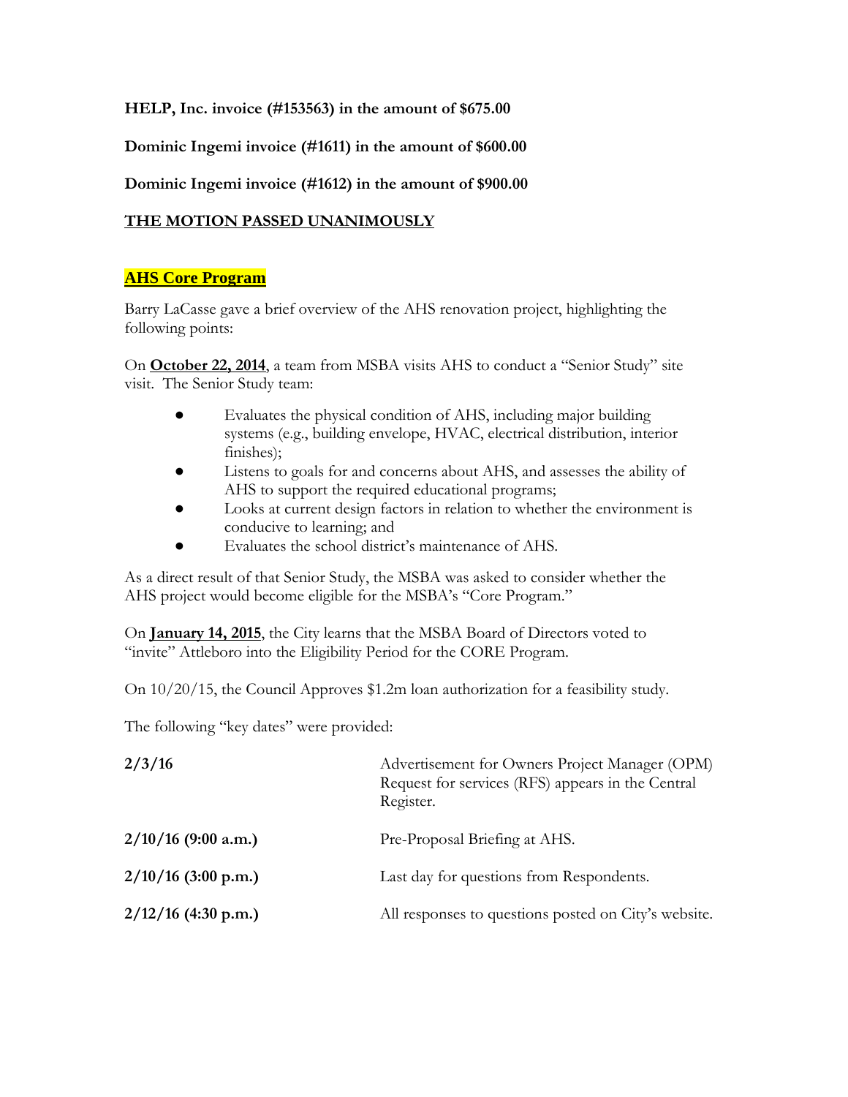**HELP, Inc. invoice (#153563) in the amount of \$675.00**

**Dominic Ingemi invoice (#1611) in the amount of \$600.00**

**Dominic Ingemi invoice (#1612) in the amount of \$900.00**

# **THE MOTION PASSED UNANIMOUSLY**

# **AHS Core Program**

Barry LaCasse gave a brief overview of the AHS renovation project, highlighting the following points:

On **October 22, 2014**, a team from MSBA visits AHS to conduct a "Senior Study" site visit. The Senior Study team:

- Evaluates the physical condition of AHS, including major building systems (e.g., building envelope, HVAC, electrical distribution, interior finishes);
- Listens to goals for and concerns about AHS, and assesses the ability of AHS to support the required educational programs;
- Looks at current design factors in relation to whether the environment is conducive to learning; and
- Evaluates the school district's maintenance of AHS.

As a direct result of that Senior Study, the MSBA was asked to consider whether the AHS project would become eligible for the MSBA's "Core Program."

On **January 14, 2015**, the City learns that the MSBA Board of Directors voted to "invite" Attleboro into the Eligibility Period for the CORE Program.

On 10/20/15, the Council Approves \$1.2m loan authorization for a feasibility study.

The following "key dates" were provided:

| 2/3/16                | Advertisement for Owners Project Manager (OPM)<br>Request for services (RFS) appears in the Central<br>Register. |
|-----------------------|------------------------------------------------------------------------------------------------------------------|
| $2/10/16$ (9:00 a.m.) | Pre-Proposal Briefing at AHS.                                                                                    |
| $2/10/16$ (3:00 p.m.) | Last day for questions from Respondents.                                                                         |
| $2/12/16$ (4:30 p.m.) | All responses to questions posted on City's website.                                                             |